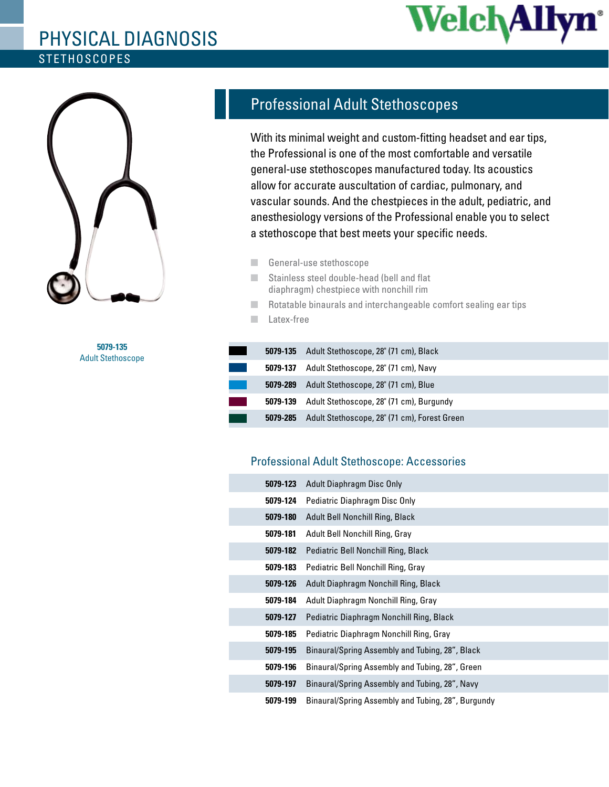## **STETHOSCOPES** Physical Diagnosis





**5079-135** Adult Stethoscope

## Professional Adult Stethoscopes

With its minimal weight and custom-fitting headset and ear tips, the Professional is one of the most comfortable and versatile general-use stethoscopes manufactured today. Its acoustics allow for accurate auscultation of cardiac, pulmonary, and vascular sounds. And the chestpieces in the adult, pediatric, and anesthesiology versions of the Professional enable you to select a stethoscope that best meets your specific needs.

- General-use stethoscope
- Stainless steel double-head (bell and flat diaphragm) chestpiece with nonchill rim
- Rotatable binaurals and interchangeable comfort sealing ear tips
- Latex-free

| 5079-135 | Adult Stethoscope, 28" (71 cm), Black                |
|----------|------------------------------------------------------|
|          | <b>5079-137</b> Adult Stethoscope, 28" (71 cm), Navy |
| 5079-289 | Adult Stethoscope, 28" (71 cm), Blue                 |
| 5079-139 | Adult Stethoscope, 28" (71 cm), Burgundy             |
| 5079-285 | Adult Stethoscope, 28" (71 cm), Forest Green         |
|          |                                                      |

## Professional Adult Stethoscope: Accessories

| 5079-123 | Adult Diaphragm Disc Only                          |
|----------|----------------------------------------------------|
| 5079-124 | Pediatric Diaphragm Disc Only                      |
| 5079-180 | Adult Bell Nonchill Ring, Black                    |
| 5079-181 | Adult Bell Nonchill Ring, Gray                     |
| 5079-182 | Pediatric Bell Nonchill Ring, Black                |
| 5079-183 | Pediatric Bell Nonchill Ring, Gray                 |
| 5079-126 | Adult Diaphragm Nonchill Ring, Black               |
| 5079-184 | Adult Diaphragm Nonchill Ring, Gray                |
| 5079-127 | Pediatric Diaphragm Nonchill Ring, Black           |
| 5079-185 | Pediatric Diaphragm Nonchill Ring, Gray            |
| 5079-195 | Binaural/Spring Assembly and Tubing, 28", Black    |
| 5079-196 | Binaural/Spring Assembly and Tubing, 28", Green    |
| 5079-197 | Binaural/Spring Assembly and Tubing, 28", Navy     |
| 5079-199 | Binaural/Spring Assembly and Tubing, 28", Burgundy |
|          |                                                    |